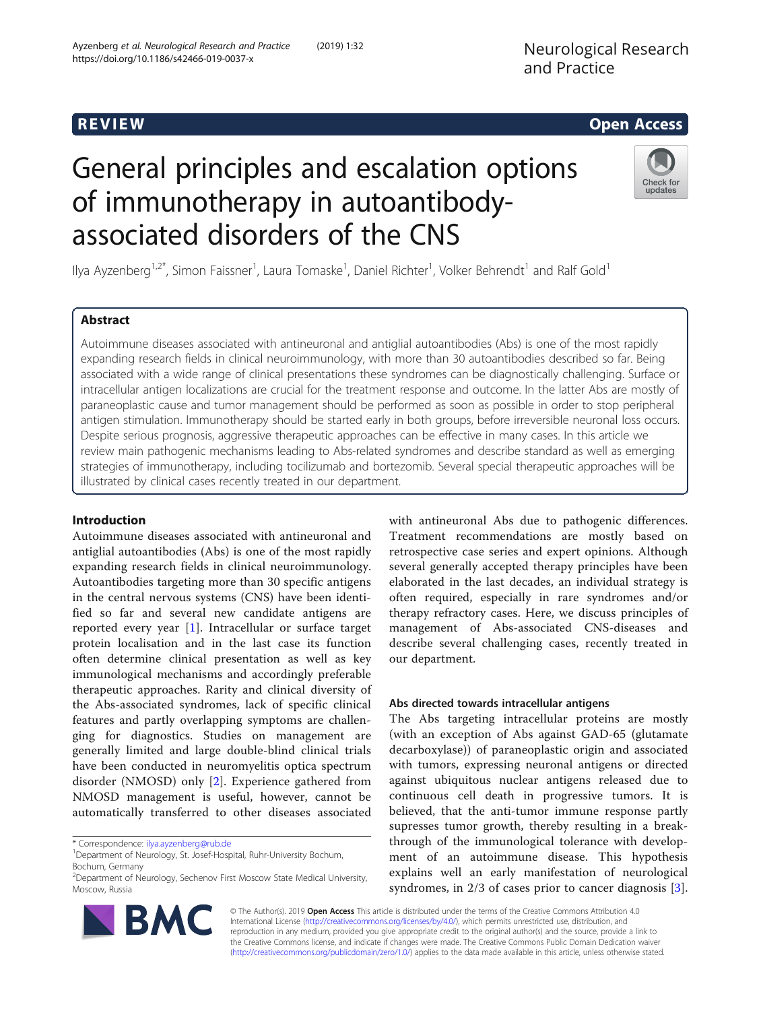Neurological Research

and Practice

# General principles and escalation options of immunotherapy in autoantibodyassociated disorders of the CNS



Ilya Ayzenberg<sup>1,2\*</sup>, Simon Faissner<sup>1</sup>, Laura Tomaske<sup>1</sup>, Daniel Richter<sup>1</sup>, Volker Behrendt<sup>1</sup> and Ralf Gold<sup>1</sup>

# Abstract

Autoimmune diseases associated with antineuronal and antiglial autoantibodies (Abs) is one of the most rapidly expanding research fields in clinical neuroimmunology, with more than 30 autoantibodies described so far. Being associated with a wide range of clinical presentations these syndromes can be diagnostically challenging. Surface or intracellular antigen localizations are crucial for the treatment response and outcome. In the latter Abs are mostly of paraneoplastic cause and tumor management should be performed as soon as possible in order to stop peripheral antigen stimulation. Immunotherapy should be started early in both groups, before irreversible neuronal loss occurs. Despite serious prognosis, aggressive therapeutic approaches can be effective in many cases. In this article we review main pathogenic mechanisms leading to Abs-related syndromes and describe standard as well as emerging strategies of immunotherapy, including tocilizumab and bortezomib. Several special therapeutic approaches will be illustrated by clinical cases recently treated in our department.

# Introduction

Autoimmune diseases associated with antineuronal and antiglial autoantibodies (Abs) is one of the most rapidly expanding research fields in clinical neuroimmunology. Autoantibodies targeting more than 30 specific antigens in the central nervous systems (CNS) have been identified so far and several new candidate antigens are reported every year [\[1](#page-6-0)]. Intracellular or surface target protein localisation and in the last case its function often determine clinical presentation as well as key immunological mechanisms and accordingly preferable therapeutic approaches. Rarity and clinical diversity of the Abs-associated syndromes, lack of specific clinical features and partly overlapping symptoms are challenging for diagnostics. Studies on management are generally limited and large double-blind clinical trials have been conducted in neuromyelitis optica spectrum disorder (NMOSD) only [[2\]](#page-6-0). Experience gathered from NMOSD management is useful, however, cannot be automatically transferred to other diseases associated

<sup>&</sup>lt;sup>2</sup> Department of Neurology, Sechenov First Moscow State Medical University, Moscow, Russia



with antineuronal Abs due to pathogenic differences. Treatment recommendations are mostly based on retrospective case series and expert opinions. Although several generally accepted therapy principles have been elaborated in the last decades, an individual strategy is often required, especially in rare syndromes and/or therapy refractory cases. Here, we discuss principles of management of Abs-associated CNS-diseases and describe several challenging cases, recently treated in our department.

## Abs directed towards intracellular antigens

The Abs targeting intracellular proteins are mostly (with an exception of Abs against GAD-65 (glutamate decarboxylase)) of paraneoplastic origin and associated with tumors, expressing neuronal antigens or directed against ubiquitous nuclear antigens released due to continuous cell death in progressive tumors. It is believed, that the anti-tumor immune response partly supresses tumor growth, thereby resulting in a breakthrough of the immunological tolerance with development of an autoimmune disease. This hypothesis explains well an early manifestation of neurological syndromes, in 2/3 of cases prior to cancer diagnosis [\[3](#page-7-0)].

© The Author(s). 2019 Open Access This article is distributed under the terms of the Creative Commons Attribution 4.0 International License [\(http://creativecommons.org/licenses/by/4.0/](http://creativecommons.org/licenses/by/4.0/)), which permits unrestricted use, distribution, and reproduction in any medium, provided you give appropriate credit to the original author(s) and the source, provide a link to the Creative Commons license, and indicate if changes were made. The Creative Commons Public Domain Dedication waiver [\(http://creativecommons.org/publicdomain/zero/1.0/](http://creativecommons.org/publicdomain/zero/1.0/)) applies to the data made available in this article, unless otherwise stated.

<sup>\*</sup> Correspondence: [ilya.ayzenberg@rub.de](mailto:ilya.ayzenberg@rub.de) <sup>1</sup>

<sup>&</sup>lt;sup>1</sup>Department of Neurology, St. Josef-Hospital, Ruhr-University Bochum, Bochum, Germany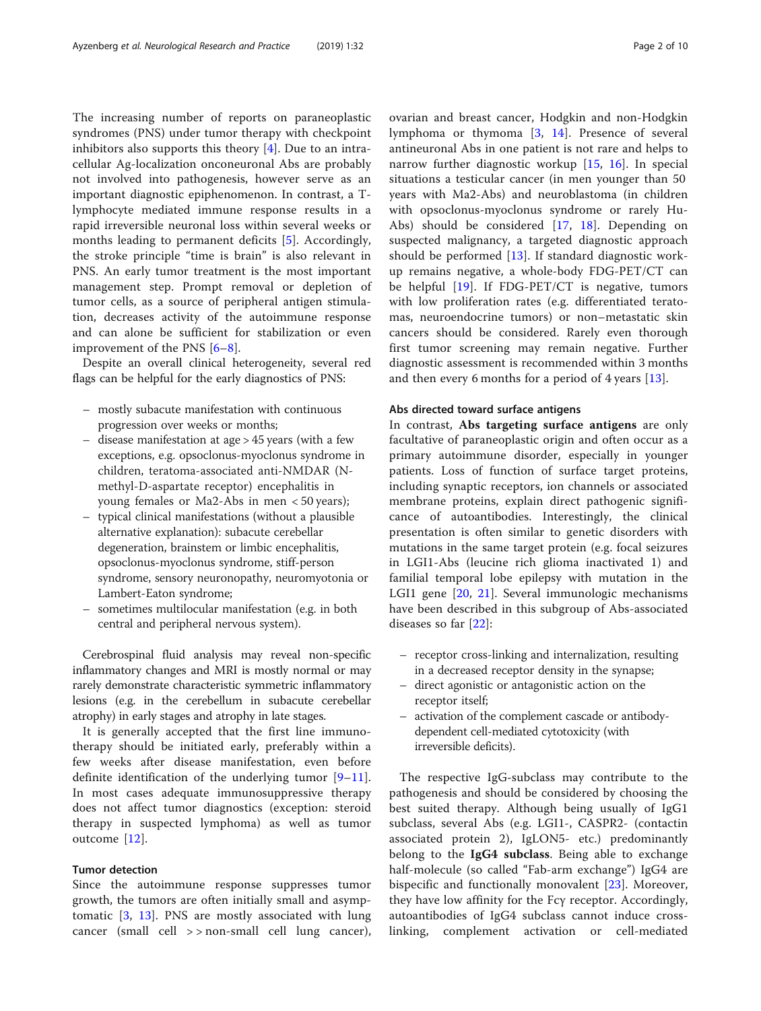The increasing number of reports on paraneoplastic syndromes (PNS) under tumor therapy with checkpoint inhibitors also supports this theory  $[4]$  $[4]$ . Due to an intracellular Ag-localization onconeuronal Abs are probably not involved into pathogenesis, however serve as an important diagnostic epiphenomenon. In contrast, a Tlymphocyte mediated immune response results in a rapid irreversible neuronal loss within several weeks or months leading to permanent deficits [[5\]](#page-7-0). Accordingly, the stroke principle "time is brain" is also relevant in PNS. An early tumor treatment is the most important management step. Prompt removal or depletion of tumor cells, as a source of peripheral antigen stimulation, decreases activity of the autoimmune response and can alone be sufficient for stabilization or even improvement of the PNS [\[6](#page-7-0)–[8](#page-7-0)].

Despite an overall clinical heterogeneity, several red flags can be helpful for the early diagnostics of PNS:

- mostly subacute manifestation with continuous progression over weeks or months;
- disease manifestation at age > 45 years (with a few exceptions, e.g. opsoclonus-myoclonus syndrome in children, teratoma-associated anti-NMDAR (Nmethyl-D-aspartate receptor) encephalitis in young females or Ma2-Abs in men < 50 years);
- typical clinical manifestations (without a plausible alternative explanation): subacute cerebellar degeneration, brainstem or limbic encephalitis, opsoclonus-myoclonus syndrome, stiff-person syndrome, sensory neuronopathy, neuromyotonia or Lambert-Eaton syndrome;
- sometimes multilocular manifestation (e.g. in both central and peripheral nervous system).

Cerebrospinal fluid analysis may reveal non-specific inflammatory changes and MRI is mostly normal or may rarely demonstrate characteristic symmetric inflammatory lesions (e.g. in the cerebellum in subacute cerebellar atrophy) in early stages and atrophy in late stages.

It is generally accepted that the first line immunotherapy should be initiated early, preferably within a few weeks after disease manifestation, even before definite identification of the underlying tumor  $[9-11]$  $[9-11]$  $[9-11]$  $[9-11]$  $[9-11]$ . In most cases adequate immunosuppressive therapy does not affect tumor diagnostics (exception: steroid therapy in suspected lymphoma) as well as tumor outcome [\[12](#page-7-0)].

## Tumor detection

Since the autoimmune response suppresses tumor growth, the tumors are often initially small and asymptomatic [\[3](#page-7-0), [13](#page-7-0)]. PNS are mostly associated with lung cancer (small cell > > non-small cell lung cancer),

ovarian and breast cancer, Hodgkin and non-Hodgkin lymphoma or thymoma [[3,](#page-7-0) [14\]](#page-7-0). Presence of several antineuronal Abs in one patient is not rare and helps to narrow further diagnostic workup  $[15, 16]$  $[15, 16]$  $[15, 16]$  $[15, 16]$ . In special situations a testicular cancer (in men younger than 50 years with Ma2-Abs) and neuroblastoma (in children with opsoclonus-myoclonus syndrome or rarely Hu-Abs) should be considered  $[17, 18]$  $[17, 18]$  $[17, 18]$  $[17, 18]$  $[17, 18]$ . Depending on suspected malignancy, a targeted diagnostic approach should be performed [[13\]](#page-7-0). If standard diagnostic workup remains negative, a whole-body FDG-PET/CT can be helpful [[19\]](#page-7-0). If FDG-PET/CT is negative, tumors with low proliferation rates (e.g. differentiated teratomas, neuroendocrine tumors) or non–metastatic skin cancers should be considered. Rarely even thorough first tumor screening may remain negative. Further diagnostic assessment is recommended within 3 months and then every 6 months for a period of 4 years [[13](#page-7-0)].

## Abs directed toward surface antigens

In contrast, Abs targeting surface antigens are only facultative of paraneoplastic origin and often occur as a primary autoimmune disorder, especially in younger patients. Loss of function of surface target proteins, including synaptic receptors, ion channels or associated membrane proteins, explain direct pathogenic significance of autoantibodies. Interestingly, the clinical presentation is often similar to genetic disorders with mutations in the same target protein (e.g. focal seizures in LGI1-Abs (leucine rich glioma inactivated 1) and familial temporal lobe epilepsy with mutation in the LGI1 gene [\[20](#page-7-0), [21\]](#page-7-0). Several immunologic mechanisms have been described in this subgroup of Abs-associated diseases so far [\[22](#page-7-0)]:

- receptor cross-linking and internalization, resulting in a decreased receptor density in the synapse;
- direct agonistic or antagonistic action on the receptor itself;
- activation of the complement cascade or antibodydependent cell-mediated cytotoxicity (with irreversible deficits).

The respective IgG-subclass may contribute to the pathogenesis and should be considered by choosing the best suited therapy. Although being usually of IgG1 subclass, several Abs (e.g. LGI1-, CASPR2- (contactin associated protein 2), IgLON5- etc.) predominantly belong to the IgG4 subclass. Being able to exchange half-molecule (so called "Fab-arm exchange") IgG4 are bispecific and functionally monovalent [\[23](#page-7-0)]. Moreover, they have low affinity for the Fcγ receptor. Accordingly, autoantibodies of IgG4 subclass cannot induce crosslinking, complement activation or cell-mediated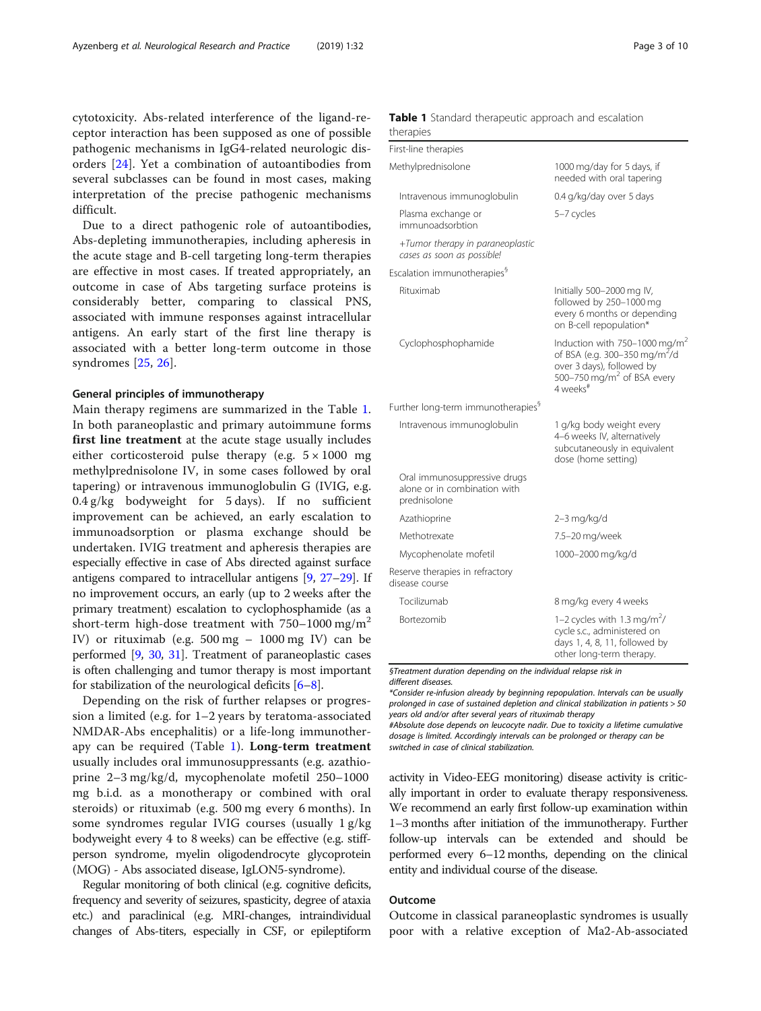cytotoxicity. Abs-related interference of the ligand-receptor interaction has been supposed as one of possible pathogenic mechanisms in IgG4-related neurologic disorders [\[24](#page-7-0)]. Yet a combination of autoantibodies from several subclasses can be found in most cases, making interpretation of the precise pathogenic mechanisms difficult.

Due to a direct pathogenic role of autoantibodies, Abs-depleting immunotherapies, including apheresis in the acute stage and B-cell targeting long-term therapies are effective in most cases. If treated appropriately, an outcome in case of Abs targeting surface proteins is considerably better, comparing to classical PNS, associated with immune responses against intracellular antigens. An early start of the first line therapy is associated with a better long-term outcome in those syndromes [[25,](#page-7-0) [26\]](#page-7-0).

## General principles of immunotherapy

Main therapy regimens are summarized in the Table 1. In both paraneoplastic and primary autoimmune forms first line treatment at the acute stage usually includes either corticosteroid pulse therapy (e.g.  $5 \times 1000$  mg methylprednisolone IV, in some cases followed by oral tapering) or intravenous immunoglobulin G (IVIG, e.g. 0.4 g/kg bodyweight for 5 days). If no sufficient improvement can be achieved, an early escalation to immunoadsorption or plasma exchange should be undertaken. IVIG treatment and apheresis therapies are especially effective in case of Abs directed against surface antigens compared to intracellular antigens [\[9,](#page-7-0) [27](#page-7-0)–[29\]](#page-7-0). If no improvement occurs, an early (up to 2 weeks after the primary treatment) escalation to cyclophosphamide (as a short-term high-dose treatment with  $750-1000$  mg/m<sup>2</sup> IV) or rituximab (e.g. 500 mg – 1000 mg IV) can be performed [[9](#page-7-0), [30](#page-7-0), [31\]](#page-7-0). Treatment of paraneoplastic cases is often challenging and tumor therapy is most important for stabilization of the neurological deficits [[6](#page-7-0)–[8](#page-7-0)].

Depending on the risk of further relapses or progression a limited (e.g. for 1–2 years by teratoma-associated NMDAR-Abs encephalitis) or a life-long immunotherapy can be required (Table 1). Long-term treatment usually includes oral immunosuppressants (e.g. azathioprine 2–3 mg/kg/d, mycophenolate mofetil 250–1000 mg b.i.d. as a monotherapy or combined with oral steroids) or rituximab (e.g. 500 mg every 6 months). In some syndromes regular IVIG courses (usually 1 g/kg bodyweight every 4 to 8 weeks) can be effective (e.g. stiffperson syndrome, myelin oligodendrocyte glycoprotein (MOG) - Abs associated disease, IgLON5-syndrome).

Regular monitoring of both clinical (e.g. cognitive deficits, frequency and severity of seizures, spasticity, degree of ataxia etc.) and paraclinical (e.g. MRI-changes, intraindividual changes of Abs-titers, especially in CSF, or epileptiform

|           | Table 1 Standard therapeutic approach and escalation |  |  |
|-----------|------------------------------------------------------|--|--|
| therapies |                                                      |  |  |

| First-line therapies                                                         |                                                                                                                                                                                       |  |  |
|------------------------------------------------------------------------------|---------------------------------------------------------------------------------------------------------------------------------------------------------------------------------------|--|--|
| Methylprednisolone                                                           | 1000 mg/day for 5 days, if<br>needed with oral tapering                                                                                                                               |  |  |
| Intravenous immunoglobulin                                                   | 0.4 g/kg/day over 5 days                                                                                                                                                              |  |  |
| Plasma exchange or<br>immunoadsorbtion                                       | 5-7 cycles                                                                                                                                                                            |  |  |
| +Tumor therapy in paraneoplastic<br>cases as soon as possible!               |                                                                                                                                                                                       |  |  |
| Escalation immunotherapies <sup>§</sup>                                      |                                                                                                                                                                                       |  |  |
| Rituximab                                                                    | Initially 500-2000 mg IV,<br>followed by 250-1000 mg<br>every 6 months or depending<br>on B-cell repopulation*                                                                        |  |  |
| Cyclophosphophamide                                                          | Induction with 750-1000 mg/m <sup>2</sup><br>of BSA (e.g. 300-350 mg/m <sup>2</sup> /d<br>over 3 days), followed by<br>500-750 mg/m <sup>2</sup> of BSA every<br>4 weeks <sup>#</sup> |  |  |
| Further long-term immunotherapies <sup>§</sup>                               |                                                                                                                                                                                       |  |  |
| Intravenous immunoglobulin                                                   | 1 g/kg body weight every<br>4-6 weeks IV, alternatively<br>subcutaneously in equivalent<br>dose (home setting)                                                                        |  |  |
| Oral immunosuppressive drugs<br>alone or in combination with<br>prednisolone |                                                                                                                                                                                       |  |  |
| Azathioprine                                                                 | 2-3 mg/kg/d                                                                                                                                                                           |  |  |
| Methotrexate                                                                 | 7.5-20 mg/week                                                                                                                                                                        |  |  |
| Mycophenolate mofetil                                                        | 1000-2000 mg/kg/d                                                                                                                                                                     |  |  |
| Reserve therapies in refractory<br>disease course                            |                                                                                                                                                                                       |  |  |
| Tocilizumab                                                                  | 8 mg/kg every 4 weeks                                                                                                                                                                 |  |  |
| <b>Bortezomib</b>                                                            | 1-2 cycles with 1.3 mg/m <sup>2</sup> /<br>cycle s.c., administered on<br>days 1, 4, 8, 11, followed by<br>other long-term therapy.                                                   |  |  |

§Treatment duration depending on the individual relapse risk in different diseases.

\*Consider re-infusion already by beginning repopulation. Intervals can be usually prolonged in case of sustained depletion and clinical stabilization in patients > 50 years old and/or after several years of rituximab therapy #Absolute dose depends on leucocyte nadir. Due to toxicity a lifetime cumulative dosage is limited. Accordingly intervals can be prolonged or therapy can be switched in case of clinical stabilization.

activity in Video-EEG monitoring) disease activity is critically important in order to evaluate therapy responsiveness. We recommend an early first follow-up examination within 1–3 months after initiation of the immunotherapy. Further follow-up intervals can be extended and should be performed every 6–12 months, depending on the clinical entity and individual course of the disease.

## Outcome

Outcome in classical paraneoplastic syndromes is usually poor with a relative exception of Ma2-Ab-associated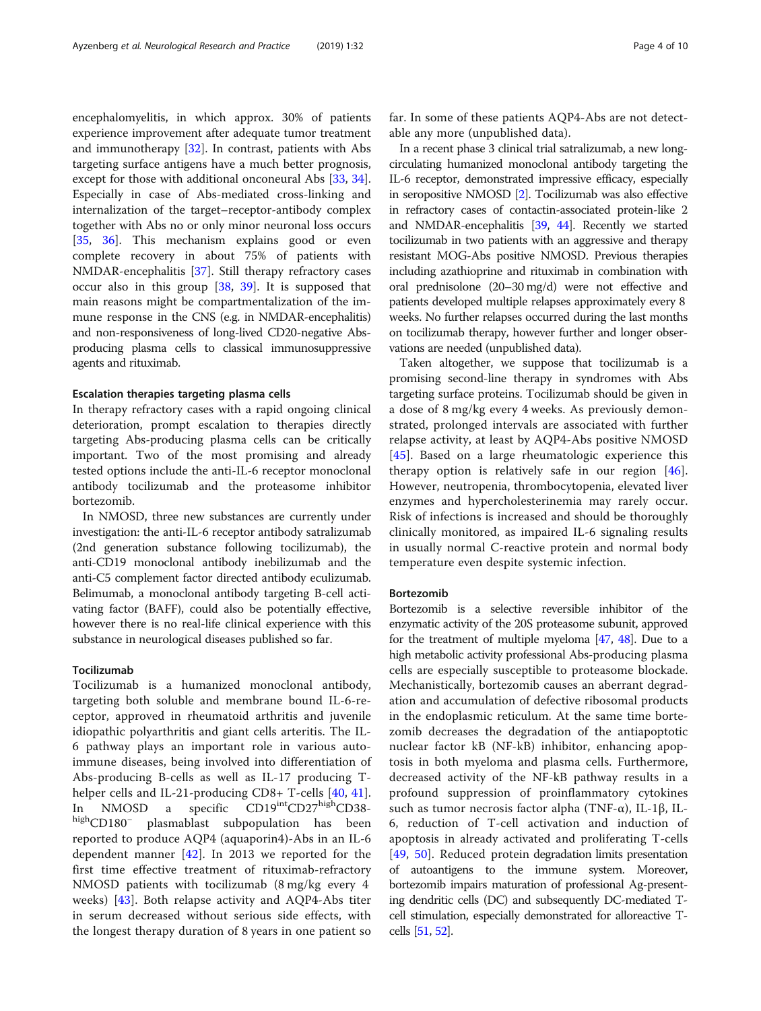encephalomyelitis, in which approx. 30% of patients experience improvement after adequate tumor treatment and immunotherapy [\[32](#page-7-0)]. In contrast, patients with Abs targeting surface antigens have a much better prognosis, except for those with additional onconeural Abs [[33](#page-7-0), [34](#page-7-0)]. Especially in case of Abs-mediated cross-linking and internalization of the target–receptor-antibody complex together with Abs no or only minor neuronal loss occurs [[35,](#page-7-0) [36\]](#page-7-0). This mechanism explains good or even complete recovery in about 75% of patients with NMDAR-encephalitis [\[37](#page-7-0)]. Still therapy refractory cases occur also in this group [[38,](#page-7-0) [39\]](#page-7-0). It is supposed that main reasons might be compartmentalization of the immune response in the CNS (e.g. in NMDAR-encephalitis) and non-responsiveness of long-lived CD20-negative Absproducing plasma cells to classical immunosuppressive agents and rituximab.

## Escalation therapies targeting plasma cells

In therapy refractory cases with a rapid ongoing clinical deterioration, prompt escalation to therapies directly targeting Abs-producing plasma cells can be critically important. Two of the most promising and already tested options include the anti-IL-6 receptor monoclonal antibody tocilizumab and the proteasome inhibitor bortezomib.

In NMOSD, three new substances are currently under investigation: the anti-IL-6 receptor antibody satralizumab (2nd generation substance following tocilizumab), the anti-CD19 monoclonal antibody inebilizumab and the anti-C5 complement factor directed antibody eculizumab. Belimumab, a monoclonal antibody targeting B-cell activating factor (BAFF), could also be potentially effective, however there is no real-life clinical experience with this substance in neurological diseases published so far.

### Tocilizumab

Tocilizumab is a humanized monoclonal antibody, targeting both soluble and membrane bound IL-6-receptor, approved in rheumatoid arthritis and juvenile idiopathic polyarthritis and giant cells arteritis. The IL-6 pathway plays an important role in various autoimmune diseases, being involved into differentiation of Abs-producing B-cells as well as IL-17 producing T-helper cells and IL-21-producing CD8+ T-cells [[40,](#page-7-0) [41](#page-7-0)]. In NMOSD a specific CD19<sup>int</sup>CD27<sup>high</sup>CD38highCD180<sup>−</sup> plasmablast subpopulation has been reported to produce AQP4 (aquaporin4)-Abs in an IL-6 dependent manner [\[42](#page-7-0)]. In 2013 we reported for the first time effective treatment of rituximab-refractory NMOSD patients with tocilizumab (8 mg/kg every 4 weeks) [\[43](#page-8-0)]. Both relapse activity and AQP4-Abs titer in serum decreased without serious side effects, with the longest therapy duration of 8 years in one patient so

far. In some of these patients AQP4-Abs are not detectable any more (unpublished data).

In a recent phase 3 clinical trial satralizumab, a new longcirculating humanized monoclonal antibody targeting the IL-6 receptor, demonstrated impressive efficacy, especially in seropositive NMOSD [\[2\]](#page-6-0). Tocilizumab was also effective in refractory cases of contactin-associated protein-like 2 and NMDAR-encephalitis [\[39](#page-7-0), [44](#page-8-0)]. Recently we started tocilizumab in two patients with an aggressive and therapy resistant MOG-Abs positive NMOSD. Previous therapies including azathioprine and rituximab in combination with oral prednisolone (20–30 mg/d) were not effective and patients developed multiple relapses approximately every 8 weeks. No further relapses occurred during the last months on tocilizumab therapy, however further and longer observations are needed (unpublished data).

Taken altogether, we suppose that tocilizumab is a promising second-line therapy in syndromes with Abs targeting surface proteins. Tocilizumab should be given in a dose of 8 mg/kg every 4 weeks. As previously demonstrated, prolonged intervals are associated with further relapse activity, at least by AQP4-Abs positive NMOSD [[45\]](#page-8-0). Based on a large rheumatologic experience this therapy option is relatively safe in our region  $[46]$  $[46]$ . However, neutropenia, thrombocytopenia, elevated liver enzymes and hypercholesterinemia may rarely occur. Risk of infections is increased and should be thoroughly clinically monitored, as impaired IL-6 signaling results in usually normal C-reactive protein and normal body temperature even despite systemic infection.

## Bortezomib

Bortezomib is a selective reversible inhibitor of the enzymatic activity of the 20S proteasome subunit, approved for the treatment of multiple myeloma  $[47, 48]$  $[47, 48]$  $[47, 48]$  $[47, 48]$  $[47, 48]$ . Due to a high metabolic activity professional Abs-producing plasma cells are especially susceptible to proteasome blockade. Mechanistically, bortezomib causes an aberrant degradation and accumulation of defective ribosomal products in the endoplasmic reticulum. At the same time bortezomib decreases the degradation of the antiapoptotic nuclear factor kB (NF-kB) inhibitor, enhancing apoptosis in both myeloma and plasma cells. Furthermore, decreased activity of the NF-kB pathway results in a profound suppression of proinflammatory cytokines such as tumor necrosis factor alpha (TNF-α), IL-1β, IL-6, reduction of T-cell activation and induction of apoptosis in already activated and proliferating T-cells [[49,](#page-8-0) [50\]](#page-8-0). Reduced protein degradation limits presentation of autoantigens to the immune system. Moreover, bortezomib impairs maturation of professional Ag-presenting dendritic cells (DC) and subsequently DC-mediated Tcell stimulation, especially demonstrated for alloreactive Tcells [[51](#page-8-0), [52\]](#page-8-0).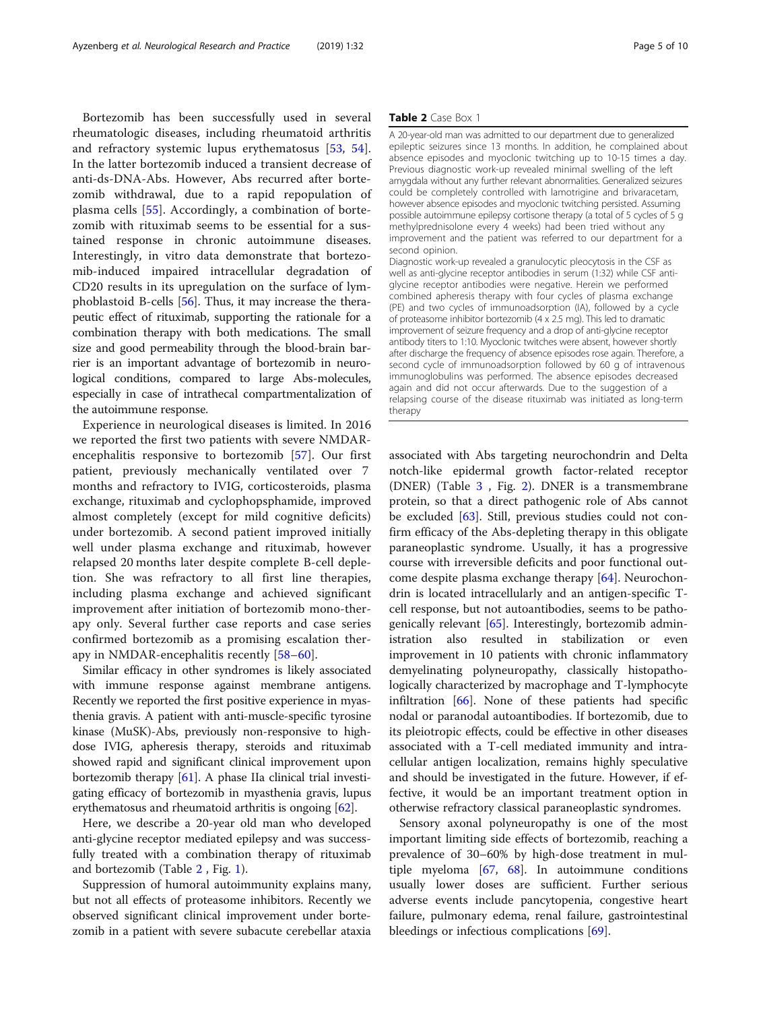Bortezomib has been successfully used in several rheumatologic diseases, including rheumatoid arthritis and refractory systemic lupus erythematosus [\[53](#page-8-0), [54](#page-8-0)]. In the latter bortezomib induced a transient decrease of anti-ds-DNA-Abs. However, Abs recurred after bortezomib withdrawal, due to a rapid repopulation of plasma cells [\[55](#page-8-0)]. Accordingly, a combination of bortezomib with rituximab seems to be essential for a sustained response in chronic autoimmune diseases. Interestingly, in vitro data demonstrate that bortezomib-induced impaired intracellular degradation of CD20 results in its upregulation on the surface of lymphoblastoid B-cells [\[56\]](#page-8-0). Thus, it may increase the therapeutic effect of rituximab, supporting the rationale for a combination therapy with both medications. The small size and good permeability through the blood-brain barrier is an important advantage of bortezomib in neurological conditions, compared to large Abs-molecules, especially in case of intrathecal compartmentalization of the autoimmune response.

Experience in neurological diseases is limited. In 2016 we reported the first two patients with severe NMDARencephalitis responsive to bortezomib [[57\]](#page-8-0). Our first patient, previously mechanically ventilated over 7 months and refractory to IVIG, corticosteroids, plasma exchange, rituximab and cyclophopsphamide, improved almost completely (except for mild cognitive deficits) under bortezomib. A second patient improved initially well under plasma exchange and rituximab, however relapsed 20 months later despite complete B-cell depletion. She was refractory to all first line therapies, including plasma exchange and achieved significant improvement after initiation of bortezomib mono-therapy only. Several further case reports and case series confirmed bortezomib as a promising escalation therapy in NMDAR-encephalitis recently [\[58](#page-8-0)–[60](#page-8-0)].

Similar efficacy in other syndromes is likely associated with immune response against membrane antigens. Recently we reported the first positive experience in myasthenia gravis. A patient with anti-muscle-specific tyrosine kinase (MuSK)-Abs, previously non-responsive to highdose IVIG, apheresis therapy, steroids and rituximab showed rapid and significant clinical improvement upon bortezomib therapy [\[61\]](#page-8-0). A phase IIa clinical trial investigating efficacy of bortezomib in myasthenia gravis, lupus erythematosus and rheumatoid arthritis is ongoing [[62\]](#page-8-0).

Here, we describe a 20-year old man who developed anti-glycine receptor mediated epilepsy and was successfully treated with a combination therapy of rituximab and bortezomib (Table 2 , Fig. [1\)](#page-5-0).

Suppression of humoral autoimmunity explains many, but not all effects of proteasome inhibitors. Recently we observed significant clinical improvement under bortezomib in a patient with severe subacute cerebellar ataxia

## Table 2 Case Box 1

A 20-year-old man was admitted to our department due to generalized epileptic seizures since 13 months. In addition, he complained about absence episodes and myoclonic twitching up to 10-15 times a day. Previous diagnostic work-up revealed minimal swelling of the left amygdala without any further relevant abnormalities. Generalized seizures could be completely controlled with lamotrigine and brivaracetam, however absence episodes and myoclonic twitching persisted. Assuming possible autoimmune epilepsy cortisone therapy (a total of 5 cycles of 5 g methylprednisolone every 4 weeks) had been tried without any improvement and the patient was referred to our department for a second opinion.

Diagnostic work-up revealed a granulocytic pleocytosis in the CSF as well as anti-glycine receptor antibodies in serum (1:32) while CSF antiglycine receptor antibodies were negative. Herein we performed combined apheresis therapy with four cycles of plasma exchange (PE) and two cycles of immunoadsorption (IA), followed by a cycle of proteasome inhibitor bortezomib (4 x 2.5 mg). This led to dramatic improvement of seizure frequency and a drop of anti-glycine receptor antibody titers to 1:10. Myoclonic twitches were absent, however shortly after discharge the frequency of absence episodes rose again. Therefore, a second cycle of immunoadsorption followed by 60 g of intravenous immunoglobulins was performed. The absence episodes decreased again and did not occur afterwards. Due to the suggestion of a relapsing course of the disease rituximab was initiated as long-term therapy

associated with Abs targeting neurochondrin and Delta notch-like epidermal growth factor-related receptor (DNER) (Table [3](#page-5-0) , Fig. [2](#page-6-0)). DNER is a transmembrane protein, so that a direct pathogenic role of Abs cannot be excluded [\[63](#page-8-0)]. Still, previous studies could not confirm efficacy of the Abs-depleting therapy in this obligate paraneoplastic syndrome. Usually, it has a progressive course with irreversible deficits and poor functional outcome despite plasma exchange therapy [[64](#page-8-0)]. Neurochondrin is located intracellularly and an antigen-specific Tcell response, but not autoantibodies, seems to be pathogenically relevant [\[65\]](#page-8-0). Interestingly, bortezomib administration also resulted in stabilization or even improvement in 10 patients with chronic inflammatory demyelinating polyneuropathy, classically histopathologically characterized by macrophage and T-lymphocyte infiltration [[66](#page-8-0)]. None of these patients had specific nodal or paranodal autoantibodies. If bortezomib, due to its pleiotropic effects, could be effective in other diseases associated with a T-cell mediated immunity and intracellular antigen localization, remains highly speculative and should be investigated in the future. However, if effective, it would be an important treatment option in otherwise refractory classical paraneoplastic syndromes.

Sensory axonal polyneuropathy is one of the most important limiting side effects of bortezomib, reaching a prevalence of 30–60% by high-dose treatment in multiple myeloma [\[67,](#page-8-0) [68](#page-8-0)]. In autoimmune conditions usually lower doses are sufficient. Further serious adverse events include pancytopenia, congestive heart failure, pulmonary edema, renal failure, gastrointestinal bleedings or infectious complications [[69\]](#page-8-0).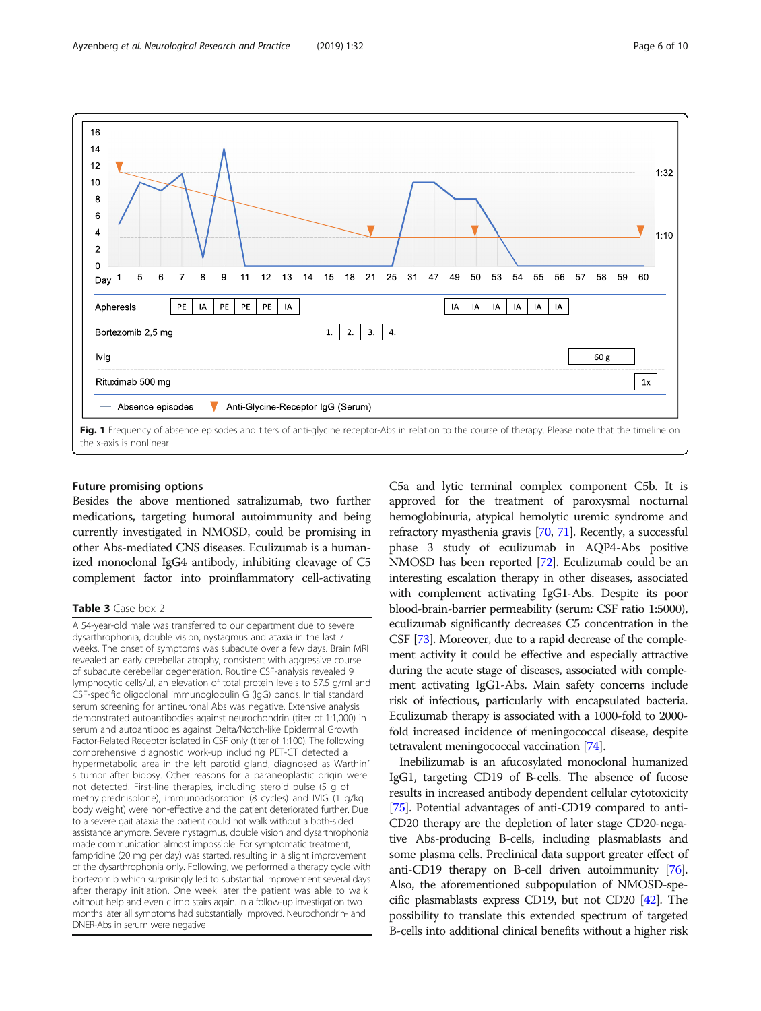<span id="page-5-0"></span>



## Future promising options

Besides the above mentioned satralizumab, two further medications, targeting humoral autoimmunity and being currently investigated in NMOSD, could be promising in other Abs-mediated CNS diseases. Eculizumab is a humanized monoclonal IgG4 antibody, inhibiting cleavage of C5 complement factor into proinflammatory cell-activating

## Table 3 Case box 2

A 54-year-old male was transferred to our department due to severe dysarthrophonia, double vision, nystagmus and ataxia in the last 7 weeks. The onset of symptoms was subacute over a few days. Brain MRI revealed an early cerebellar atrophy, consistent with aggressive course of subacute cerebellar degeneration. Routine CSF-analysis revealed 9 lymphocytic cells/μl, an elevation of total protein levels to 57.5 g/ml and CSF-specific oligoclonal immunoglobulin G (IgG) bands. Initial standard serum screening for antineuronal Abs was negative. Extensive analysis demonstrated autoantibodies against neurochondrin (titer of 1:1,000) in serum and autoantibodies against Delta/Notch-like Epidermal Growth Factor-Related Receptor isolated in CSF only (titer of 1:100). The following comprehensive diagnostic work-up including PET-CT detected a hypermetabolic area in the left parotid gland, diagnosed as Warthin´ s tumor after biopsy. Other reasons for a paraneoplastic origin were not detected. First-line therapies, including steroid pulse (5 g of methylprednisolone), immunoadsorption (8 cycles) and IVIG (1 g/kg body weight) were non-effective and the patient deteriorated further. Due to a severe gait ataxia the patient could not walk without a both-sided assistance anymore. Severe nystagmus, double vision and dysarthrophonia made communication almost impossible. For symptomatic treatment, fampridine (20 mg per day) was started, resulting in a slight improvement of the dysarthrophonia only. Following, we performed a therapy cycle with bortezomib which surprisingly led to substantial improvement several days after therapy initiation. One week later the patient was able to walk without help and even climb stairs again. In a follow-up investigation two months later all symptoms had substantially improved. Neurochondrin- and DNER-Abs in serum were negative

C5a and lytic terminal complex component C5b. It is approved for the treatment of paroxysmal nocturnal hemoglobinuria, atypical hemolytic uremic syndrome and refractory myasthenia gravis [[70](#page-8-0), [71\]](#page-8-0). Recently, a successful phase 3 study of eculizumab in AQP4-Abs positive NMOSD has been reported [\[72](#page-8-0)]. Eculizumab could be an interesting escalation therapy in other diseases, associated with complement activating IgG1-Abs. Despite its poor blood-brain-barrier permeability (serum: CSF ratio 1:5000), eculizumab significantly decreases C5 concentration in the CSF [[73](#page-8-0)]. Moreover, due to a rapid decrease of the complement activity it could be effective and especially attractive during the acute stage of diseases, associated with complement activating IgG1-Abs. Main safety concerns include risk of infectious, particularly with encapsulated bacteria. Eculizumab therapy is associated with a 1000-fold to 2000 fold increased incidence of meningococcal disease, despite tetravalent meningococcal vaccination [[74](#page-8-0)].

Inebilizumab is an afucosylated monoclonal humanized IgG1, targeting CD19 of B-cells. The absence of fucose results in increased antibody dependent cellular cytotoxicity [[75](#page-8-0)]. Potential advantages of anti-CD19 compared to anti-CD20 therapy are the depletion of later stage CD20-negative Abs-producing B-cells, including plasmablasts and some plasma cells. Preclinical data support greater effect of anti-CD19 therapy on B-cell driven autoimmunity [\[76](#page-8-0)]. Also, the aforementioned subpopulation of NMOSD-specific plasmablasts express CD19, but not CD20 [\[42\]](#page-7-0). The possibility to translate this extended spectrum of targeted B-cells into additional clinical benefits without a higher risk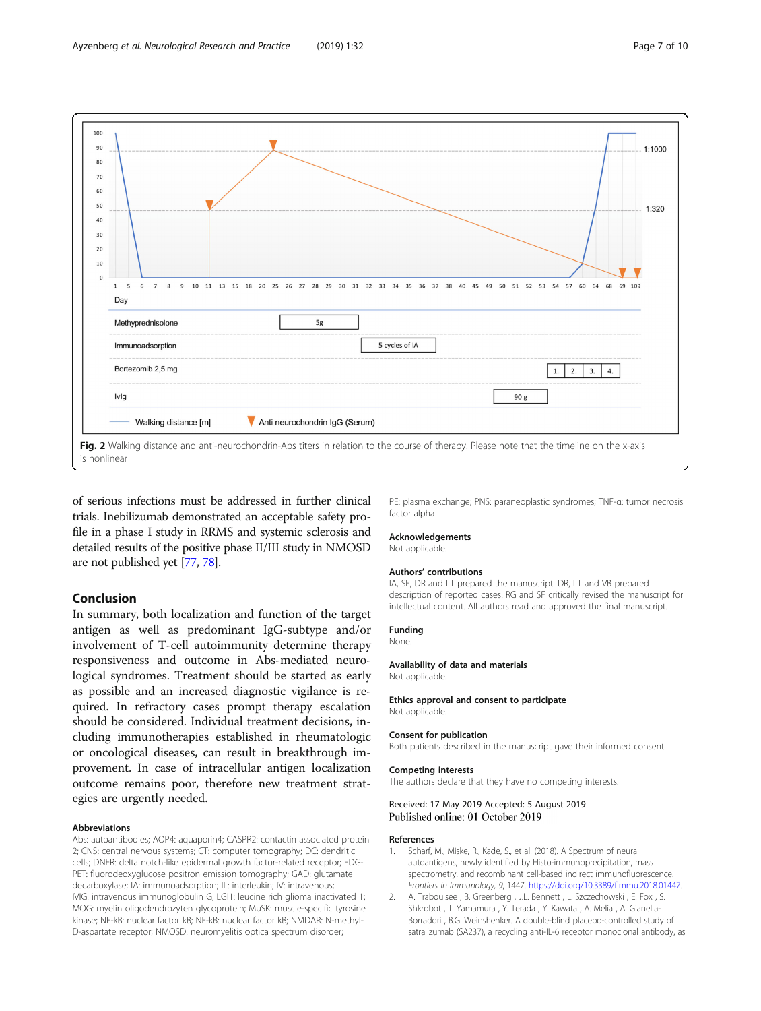<span id="page-6-0"></span>

of serious infections must be addressed in further clinical trials. Inebilizumab demonstrated an acceptable safety profile in a phase I study in RRMS and systemic sclerosis and detailed results of the positive phase II/III study in NMOSD are not published yet [\[77,](#page-8-0) [78\]](#page-9-0).

# Conclusion

In summary, both localization and function of the target antigen as well as predominant IgG-subtype and/or involvement of T-cell autoimmunity determine therapy responsiveness and outcome in Abs-mediated neurological syndromes. Treatment should be started as early as possible and an increased diagnostic vigilance is required. In refractory cases prompt therapy escalation should be considered. Individual treatment decisions, including immunotherapies established in rheumatologic or oncological diseases, can result in breakthrough improvement. In case of intracellular antigen localization outcome remains poor, therefore new treatment strategies are urgently needed.

#### Abbreviations

Abs: autoantibodies; AQP4: aquaporin4; CASPR2: contactin associated protein 2; CNS: central nervous systems; CT: computer tomography; DC: dendritic cells; DNER: delta notch-like epidermal growth factor-related receptor; FDG-PET: fluorodeoxyglucose positron emission tomography; GAD: glutamate decarboxylase; IA: immunoadsorption; IL: interleukin; IV: intravenous; IVIG: intravenous immunoglobulin G; LGI1: leucine rich glioma inactivated 1; MOG: myelin oligodendrozyten glycoprotein; MuSK: muscle-specific tyrosine kinase; NF-kB: nuclear factor kB; NF-kB: nuclear factor kB; NMDAR: N-methyl-D-aspartate receptor; NMOSD: neuromyelitis optica spectrum disorder;

PE: plasma exchange; PNS: paraneoplastic syndromes; TNF-α: tumor necrosis factor alpha

## Acknowledgements

Not applicable.

#### Authors' contributions

IA, SF, DR and LT prepared the manuscript. DR, LT and VB prepared description of reported cases. RG and SF critically revised the manuscript for intellectual content. All authors read and approved the final manuscript.

#### Funding

None.

#### Availability of data and materials

Not applicable.

#### Ethics approval and consent to participate Not applicable.

#### Consent for publication

Both patients described in the manuscript gave their informed consent.

#### Competing interests

The authors declare that they have no competing interests.

## Received: 17 May 2019 Accepted: 5 August 2019 Published online: 01 October 2019

#### References

- 1. Scharf, M., Miske, R., Kade, S., et al. (2018). A Spectrum of neural autoantigens, newly identified by Histo-immunoprecipitation, mass spectrometry, and recombinant cell-based indirect immunofluorescence. Frontiers in Immunology, 9, 1447. [https://doi.org/10.3389/fimmu.2018.01447.](https://doi.org/10.3389/fimmu.2018.01447)
- 2. A. Traboulsee , B. Greenberg , J.L. Bennett , L. Szczechowski , E. Fox , S. Shkrobot , T. Yamamura , Y. Terada , Y. Kawata , A. Melia , A. Gianella-Borradori , B.G. Weinshenker. A double-blind placebo-controlled study of satralizumab (SA237), a recycling anti-IL-6 receptor monoclonal antibody, as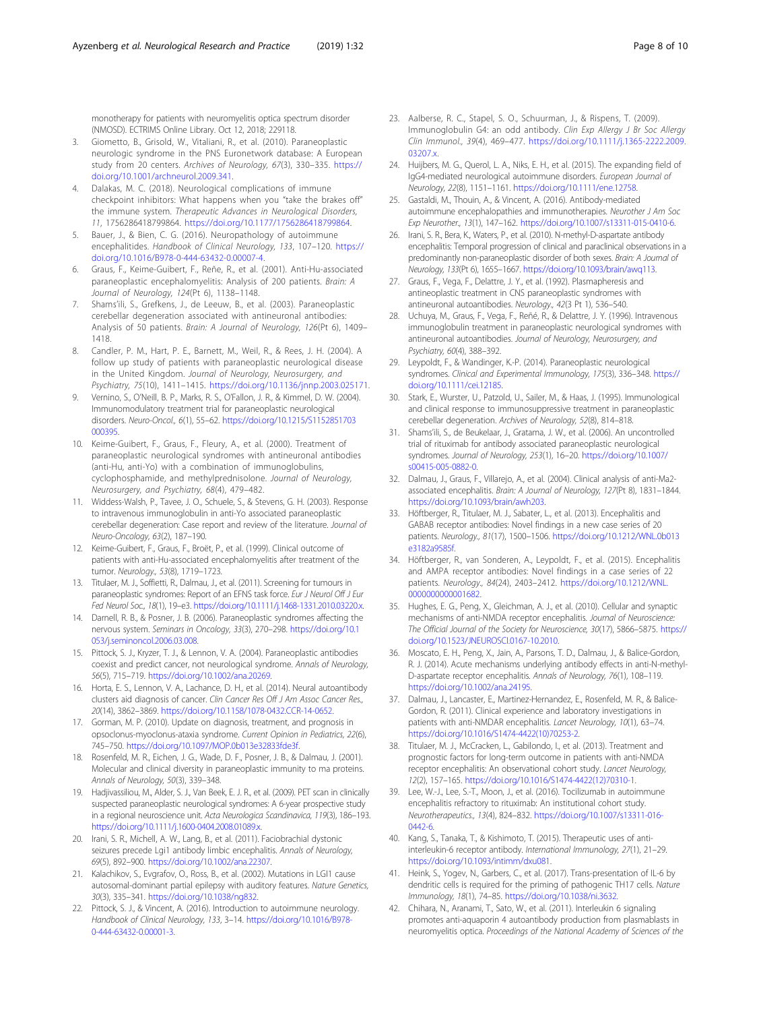<span id="page-7-0"></span>monotherapy for patients with neuromyelitis optica spectrum disorder (NMOSD). ECTRIMS Online Library. Oct 12, 2018; 229118.

- 3. Giometto, B., Grisold, W., Vitaliani, R., et al. (2010). Paraneoplastic neurologic syndrome in the PNS Euronetwork database: A European study from 20 centers. Archives of Neurology, 67(3), 330–335. [https://](https://doi.org/10.1001/archneurol.2009.341) [doi.org/10.1001/archneurol.2009.341.](https://doi.org/10.1001/archneurol.2009.341)
- 4. Dalakas, M. C. (2018). Neurological complications of immune checkpoint inhibitors: What happens when you "take the brakes off" the immune system. Therapeutic Advances in Neurological Disorders, 11, 1756286418799864. <https://doi.org/10.1177/1756286418799864>.
- 5. Bauer, J., & Bien, C. G. (2016). Neuropathology of autoimmune encephalitides. Handbook of Clinical Neurology, 133, 107-120. [https://](https://doi.org/10.1016/B978-0-444-63432-0.00007-4) [doi.org/10.1016/B978-0-444-63432-0.00007-4](https://doi.org/10.1016/B978-0-444-63432-0.00007-4).
- 6. Graus, F., Keime-Guibert, F., Reñe, R., et al. (2001). Anti-Hu-associated paraneoplastic encephalomyelitis: Analysis of 200 patients. Brain: A Journal of Neurology, 124(Pt 6), 1138–1148.
- Shams'ili, S., Grefkens, J., de Leeuw, B., et al. (2003). Paraneoplastic cerebellar degeneration associated with antineuronal antibodies: Analysis of 50 patients. Brain: A Journal of Neurology, 126(Pt 6), 1409– 1418.
- 8. Candler, P. M., Hart, P. E., Barnett, M., Weil, R., & Rees, J. H. (2004). A follow up study of patients with paraneoplastic neurological disease in the United Kingdom. Journal of Neurology, Neurosurgery, and Psychiatry, 75(10), 1411–1415. <https://doi.org/10.1136/jnnp.2003.025171>.
- Vernino, S., O'Neill, B. P., Marks, R. S., O'Fallon, J. R., & Kimmel, D. W. (2004). Immunomodulatory treatment trial for paraneoplastic neurological disorders. Neuro-Oncol., 6(1), 55–62. [https://doi.org/10.1215/S1152851703](https://doi.org/10.1215/S1152851703000395) [000395](https://doi.org/10.1215/S1152851703000395).
- 10. Keime-Guibert, F., Graus, F., Fleury, A., et al. (2000). Treatment of paraneoplastic neurological syndromes with antineuronal antibodies (anti-Hu, anti-Yo) with a combination of immunoglobulins, cyclophosphamide, and methylprednisolone. Journal of Neurology, Neurosurgery, and Psychiatry, 68(4), 479–482.
- 11. Widdess-Walsh, P., Tavee, J. O., Schuele, S., & Stevens, G. H. (2003). Response to intravenous immunoglobulin in anti-Yo associated paraneoplastic cerebellar degeneration: Case report and review of the literature. Journal of Neuro-Oncology, 63(2), 187–190.
- 12. Keime-Guibert, F., Graus, F., Broët, P., et al. (1999). Clinical outcome of patients with anti-Hu-associated encephalomyelitis after treatment of the tumor. Neurology., 53(8), 1719–1723.
- 13. Titulaer, M. J., Soffietti, R., Dalmau, J., et al. (2011). Screening for tumours in paraneoplastic syndromes: Report of an EFNS task force. Eur J Neurol Off J Eur Fed Neurol Soc., 18(1), 19–e3. [https://doi.org/10.1111/j.1468-1331.2010.03220.x.](https://doi.org/10.1111/j.1468-1331.2010.03220.x)
- 14. Darnell, R. B., & Posner, J. B. (2006). Paraneoplastic syndromes affecting the nervous system. Seminars in Oncology, 33(3), 270–298. [https://doi.org/10.1](https://doi.org/10.1053/j.seminoncol.2006.03.008) [053/j.seminoncol.2006.03.008](https://doi.org/10.1053/j.seminoncol.2006.03.008).
- 15. Pittock, S. J., Kryzer, T. J., & Lennon, V. A. (2004). Paraneoplastic antibodies coexist and predict cancer, not neurological syndrome. Annals of Neurology, 56(5), 715–719. [https://doi.org/10.1002/ana.20269.](https://doi.org/10.1002/ana.20269)
- 16. Horta, E. S., Lennon, V. A., Lachance, D. H., et al. (2014). Neural autoantibody clusters aid diagnosis of cancer. Clin Cancer Res Off J Am Assoc Cancer Res., 20(14), 3862–3869. <https://doi.org/10.1158/1078-0432.CCR-14-0652>.
- 17. Gorman, M. P. (2010). Update on diagnosis, treatment, and prognosis in opsoclonus-myoclonus-ataxia syndrome. Current Opinion in Pediatrics, 22(6), 745–750. [https://doi.org/10.1097/MOP.0b013e32833fde3f.](https://doi.org/10.1097/MOP.0b013e32833fde3f)
- 18. Rosenfeld, M. R., Eichen, J. G., Wade, D. F., Posner, J. B., & Dalmau, J. (2001). Molecular and clinical diversity in paraneoplastic immunity to ma proteins. Annals of Neurology, 50(3), 339–348.
- 19. Hadjivassiliou, M., Alder, S. J., Van Beek, E. J. R., et al. (2009). PET scan in clinically suspected paraneoplastic neurological syndromes: A 6-year prospective study in a regional neuroscience unit. Acta Neurologica Scandinavica, 119(3), 186–193. [https://doi.org/10.1111/j.1600-0404.2008.01089.x.](https://doi.org/10.1111/j.1600-0404.2008.01089.x)
- 20. Irani, S. R., Michell, A. W., Lang, B., et al. (2011). Faciobrachial dystonic seizures precede Lgi1 antibody limbic encephalitis. Annals of Neurology, 69(5), 892–900. [https://doi.org/10.1002/ana.22307.](https://doi.org/10.1002/ana.22307)
- 21. Kalachikov, S., Evgrafov, O., Ross, B., et al. (2002). Mutations in LGI1 cause autosomal-dominant partial epilepsy with auditory features. Nature Genetics, 30(3), 335–341. <https://doi.org/10.1038/ng832>.
- 22. Pittock, S. J., & Vincent, A. (2016). Introduction to autoimmune neurology. Handbook of Clinical Neurology, 133, 3–14. [https://doi.org/10.1016/B978-](https://doi.org/10.1016/B978-0-444-63432-0.00001-3) [0-444-63432-0.00001-3.](https://doi.org/10.1016/B978-0-444-63432-0.00001-3)
- 23. Aalberse, R. C., Stapel, S. O., Schuurman, J., & Rispens, T. (2009). Immunoglobulin G4: an odd antibody. Clin Exp Allergy J Br Soc Allergy Clin Immunol., 39(4), 469–477. [https://doi.org/10.1111/j.1365-2222.2009.](https://doi.org/10.1111/j.1365-2222.2009.03207.x) [03207.x](https://doi.org/10.1111/j.1365-2222.2009.03207.x).
- 24. Huijbers, M. G., Querol, L. A., Niks, E. H., et al. (2015). The expanding field of IgG4-mediated neurological autoimmune disorders. European Journal of Neurology, 22(8), 1151–1161. <https://doi.org/10.1111/ene.12758>.
- 25. Gastaldi, M., Thouin, A., & Vincent, A. (2016). Antibody-mediated autoimmune encephalopathies and immunotherapies. Neurother J Am Soc Exp Neurother., 13(1), 147–162. [https://doi.org/10.1007/s13311-015-0410-6.](https://doi.org/10.1007/s13311-015-0410-6)
- 26. Irani, S. R., Bera, K., Waters, P., et al. (2010). N-methyl-D-aspartate antibody encephalitis: Temporal progression of clinical and paraclinical observations in a predominantly non-paraneoplastic disorder of both sexes. Brain: A Journal of Neurology, 133(Pt 6), 1655–1667. [https://doi.org/10.1093/brain/awq113.](https://doi.org/10.1093/brain/awq113)
- 27. Graus, F., Vega, F., Delattre, J. Y., et al. (1992). Plasmapheresis and antineoplastic treatment in CNS paraneoplastic syndromes with antineuronal autoantibodies. Neurology., 42(3 Pt 1), 536–540.
- 28. Uchuya, M., Graus, F., Vega, F., Reñé, R., & Delattre, J. Y. (1996). Intravenous immunoglobulin treatment in paraneoplastic neurological syndromes with antineuronal autoantibodies. Journal of Neurology, Neurosurgery, and Psychiatry, 60(4), 388–392.
- 29. Leypoldt, F., & Wandinger, K.-P. (2014). Paraneoplastic neurological syndromes. Clinical and Experimental Immunology, 175(3), 336–348. [https://](https://doi.org/10.1111/cei.12185) [doi.org/10.1111/cei.12185.](https://doi.org/10.1111/cei.12185)
- 30. Stark, E., Wurster, U., Patzold, U., Sailer, M., & Haas, J. (1995). Immunological and clinical response to immunosuppressive treatment in paraneoplastic cerebellar degeneration. Archives of Neurology, 52(8), 814–818.
- 31. Shams'ili, S., de Beukelaar, J., Gratama, J. W., et al. (2006). An uncontrolled trial of rituximab for antibody associated paraneoplastic neurological syndromes. Journal of Neurology, 253(1), 16–20. [https://doi.org/10.1007/](https://doi.org/10.1007/s00415-005-0882-0) [s00415-005-0882-0.](https://doi.org/10.1007/s00415-005-0882-0)
- 32. Dalmau, J., Graus, F., Villarejo, A., et al. (2004). Clinical analysis of anti-Ma2 associated encephalitis. Brain: A Journal of Neurology, 127(Pt 8), 1831–1844. <https://doi.org/10.1093/brain/awh203>.
- 33. Höftberger, R., Titulaer, M. J., Sabater, L., et al. (2013). Encephalitis and GABAB receptor antibodies: Novel findings in a new case series of 20 patients. Neurology., 81(17), 1500–1506. [https://doi.org/10.1212/WNL.0b013](https://doi.org/10.1212/WNL.0b013e3182a9585f) [e3182a9585f](https://doi.org/10.1212/WNL.0b013e3182a9585f).
- 34. Höftberger, R., van Sonderen, A., Leypoldt, F., et al. (2015). Encephalitis and AMPA receptor antibodies: Novel findings in a case series of 22 patients. Neurology., 84(24), 2403–2412. [https://doi.org/10.1212/WNL.](https://doi.org/10.1212/WNL.0000000000001682) 000000000001682
- 35. Hughes, E. G., Peng, X., Gleichman, A. J., et al. (2010). Cellular and synaptic mechanisms of anti-NMDA receptor encephalitis. Journal of Neuroscience: The Official Journal of the Society for Neuroscience, 30(17), 5866–5875. [https://](https://doi.org/10.1523/JNEUROSCI.0167-10.2010) [doi.org/10.1523/JNEUROSCI.0167-10.2010.](https://doi.org/10.1523/JNEUROSCI.0167-10.2010)
- 36. Moscato, E. H., Peng, X., Jain, A., Parsons, T. D., Dalmau, J., & Balice-Gordon, R. J. (2014). Acute mechanisms underlying antibody effects in anti-N-methyl-D-aspartate receptor encephalitis. Annals of Neurology, 76(1), 108–119. <https://doi.org/10.1002/ana.24195>.
- 37. Dalmau, J., Lancaster, E., Martinez-Hernandez, E., Rosenfeld, M. R., & Balice-Gordon, R. (2011). Clinical experience and laboratory investigations in patients with anti-NMDAR encephalitis. Lancet Neurology, 10(1), 63–74. [https://doi.org/10.1016/S1474-4422\(10\)70253-2.](https://doi.org/10.1016/S1474-4422(10)70253-2)
- 38. Titulaer, M. J., McCracken, L., Gabilondo, I., et al. (2013). Treatment and prognostic factors for long-term outcome in patients with anti-NMDA receptor encephalitis: An observational cohort study. Lancet Neurology, 12(2), 157–165. [https://doi.org/10.1016/S1474-4422\(12\)70310-1](https://doi.org/10.1016/S1474-4422(12)70310-1).
- 39. Lee, W.-J., Lee, S.-T., Moon, J., et al. (2016). Tocilizumab in autoimmune encephalitis refractory to rituximab: An institutional cohort study. Neurotherapeutics., 13(4), 824–832. [https://doi.org/10.1007/s13311-016-](https://doi.org/10.1007/s13311-016-0442-6) [0442-6.](https://doi.org/10.1007/s13311-016-0442-6)
- 40. Kang, S., Tanaka, T., & Kishimoto, T. (2015). Therapeutic uses of antiinterleukin-6 receptor antibody. International Immunology, 27(1), 21–29. [https://doi.org/10.1093/intimm/dxu081.](https://doi.org/10.1093/intimm/dxu081)
- 41. Heink, S., Yogev, N., Garbers, C., et al. (2017). Trans-presentation of IL-6 by dendritic cells is required for the priming of pathogenic TH17 cells. Nature Immunology, 18(1), 74–85. [https://doi.org/10.1038/ni.3632.](https://doi.org/10.1038/ni.3632)
- 42. Chihara, N., Aranami, T., Sato, W., et al. (2011). Interleukin 6 signaling promotes anti-aquaporin 4 autoantibody production from plasmablasts in neuromyelitis optica. Proceedings of the National Academy of Sciences of the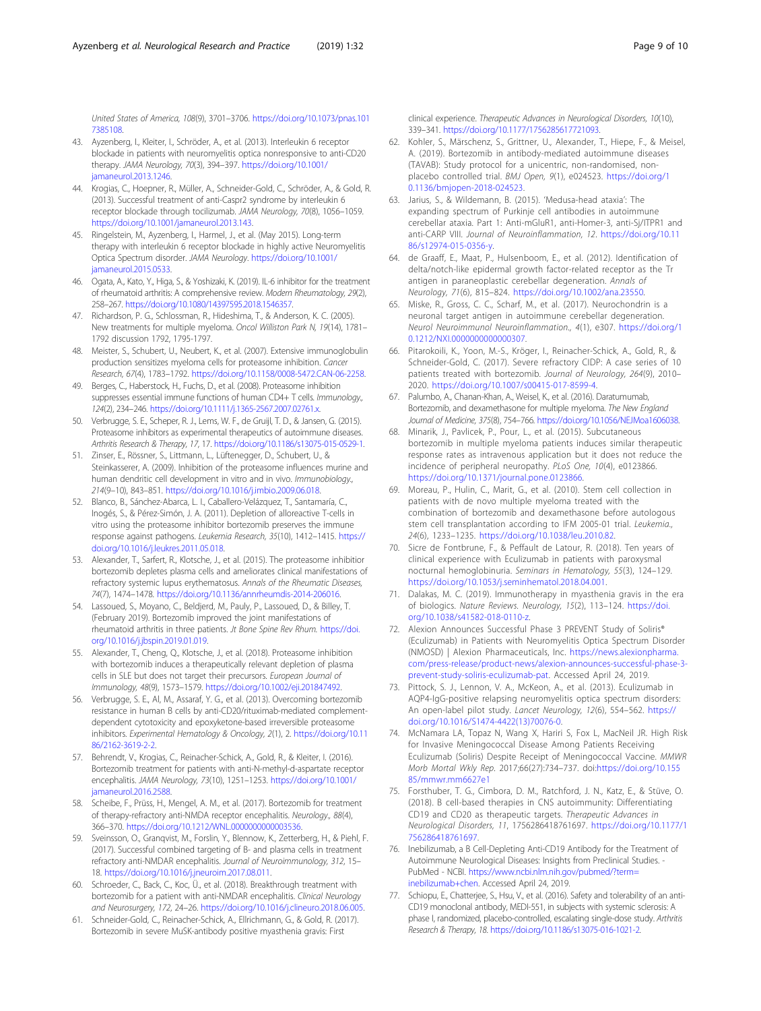<span id="page-8-0"></span>United States of America, 108(9), 3701–3706. [https://doi.org/10.1073/pnas.101](https://doi.org/10.1073/pnas.1017385108) [7385108.](https://doi.org/10.1073/pnas.1017385108)

- 43. Ayzenberg, I., Kleiter, I., Schröder, A., et al. (2013). Interleukin 6 receptor blockade in patients with neuromyelitis optica nonresponsive to anti-CD20 therapy. JAMA Neurology, 70(3), 394–397. [https://doi.org/10.1001/](https://doi.org/10.1001/jamaneurol.2013.1246) [jamaneurol.2013.1246](https://doi.org/10.1001/jamaneurol.2013.1246).
- 44. Krogias, C., Hoepner, R., Müller, A., Schneider-Gold, C., Schröder, A., & Gold, R. (2013). Successful treatment of anti-Caspr2 syndrome by interleukin 6 receptor blockade through tocilizumab. JAMA Neurology, 70(8), 1056–1059. <https://doi.org/10.1001/jamaneurol.2013.143>.
- 45. Ringelstein, M., Ayzenberg, I., Harmel, J., et al. (May 2015). Long-term therapy with interleukin 6 receptor blockade in highly active Neuromyelitis Optica Spectrum disorder. JAMA Neurology. [https://doi.org/10.1001/](https://doi.org/10.1001/jamaneurol.2015.0533) [jamaneurol.2015.0533](https://doi.org/10.1001/jamaneurol.2015.0533).
- 46. Ogata, A., Kato, Y., Higa, S., & Yoshizaki, K. (2019). IL-6 inhibitor for the treatment of rheumatoid arthritis: A comprehensive review. Modern Rheumatology, 29(2), 258–267. <https://doi.org/10.1080/14397595.2018.1546357>.
- 47. Richardson, P. G., Schlossman, R., Hideshima, T., & Anderson, K. C. (2005). New treatments for multiple myeloma. Oncol Williston Park N, 19(14), 1781– 1792 discussion 1792, 1795-1797.
- 48. Meister, S., Schubert, U., Neubert, K., et al. (2007). Extensive immunoglobulin production sensitizes myeloma cells for proteasome inhibition. Cancer Research, 67(4), 1783–1792. <https://doi.org/10.1158/0008-5472.CAN-06-2258>.
- 49. Berges, C., Haberstock, H., Fuchs, D., et al. (2008). Proteasome inhibition suppresses essential immune functions of human CD4+ T cells. Immunology., 124(2), 234–246. [https://doi.org/10.1111/j.1365-2567.2007.02761.x.](https://doi.org/10.1111/j.1365-2567.2007.02761.x)
- 50. Verbrugge, S. E., Scheper, R. J., Lems, W. F., de Gruijl, T. D., & Jansen, G. (2015). Proteasome inhibitors as experimental therapeutics of autoimmune diseases. Arthritis Research & Therapy, 17, 17. <https://doi.org/10.1186/s13075-015-0529-1>.
- 51. Zinser, E., Rössner, S., Littmann, L., Lüftenegger, D., Schubert, U., & Steinkasserer, A. (2009). Inhibition of the proteasome influences murine and human dendritic cell development in vitro and in vivo. Immunobiology., 214(9–10), 843–851. <https://doi.org/10.1016/j.imbio.2009.06.018>.
- 52. Blanco, B., Sánchez-Abarca, L. I., Caballero-Velázquez, T., Santamaría, C., Inogés, S., & Pérez-Simón, J. A. (2011). Depletion of alloreactive T-cells in vitro using the proteasome inhibitor bortezomib preserves the immune response against pathogens. Leukemia Research, 35(10), 1412–1415. [https://](https://doi.org/10.1016/j.leukres.2011.05.018) [doi.org/10.1016/j.leukres.2011.05.018.](https://doi.org/10.1016/j.leukres.2011.05.018)
- 53. Alexander, T., Sarfert, R., Klotsche, J., et al. (2015). The proteasome inhibitior bortezomib depletes plasma cells and ameliorates clinical manifestations of refractory systemic lupus erythematosus. Annals of the Rheumatic Diseases, 74(7), 1474–1478. [https://doi.org/10.1136/annrheumdis-2014-206016.](https://doi.org/10.1136/annrheumdis-2014-206016)
- 54. Lassoued, S., Moyano, C., Beldjerd, M., Pauly, P., Lassoued, D., & Billey, T. (February 2019). Bortezomib improved the joint manifestations of rheumatoid arthritis in three patients. Jt Bone Spine Rev Rhum. [https://doi.](https://doi.org/10.1016/j.jbspin.2019.01.019) [org/10.1016/j.jbspin.2019.01.019.](https://doi.org/10.1016/j.jbspin.2019.01.019)
- 55. Alexander, T., Cheng, Q., Klotsche, J., et al. (2018). Proteasome inhibition with bortezomib induces a therapeutically relevant depletion of plasma cells in SLE but does not target their precursors. European Journal of Immunology, 48(9), 1573–1579. [https://doi.org/10.1002/eji.201847492.](https://doi.org/10.1002/eji.201847492)
- 56. Verbrugge, S. E., Al, M., Assaraf, Y. G., et al. (2013). Overcoming bortezomib resistance in human B cells by anti-CD20/rituximab-mediated complementdependent cytotoxicity and epoxyketone-based irreversible proteasome inhibitors. Experimental Hematology & Oncology, 2(1), 2. [https://doi.org/10.11](https://doi.org/10.1186/2162-3619-2-2) [86/2162-3619-2-2](https://doi.org/10.1186/2162-3619-2-2).
- 57. Behrendt, V., Krogias, C., Reinacher-Schick, A., Gold, R., & Kleiter, I. (2016). Bortezomib treatment for patients with anti-N-methyl-d-aspartate receptor encephalitis. JAMA Neurology, 73(10), 1251–1253. [https://doi.org/10.1001/](https://doi.org/10.1001/jamaneurol.2016.2588) [jamaneurol.2016.2588](https://doi.org/10.1001/jamaneurol.2016.2588).
- 58. Scheibe, F., Prüss, H., Mengel, A. M., et al. (2017). Bortezomib for treatment of therapy-refractory anti-NMDA receptor encephalitis. Neurology., 88(4), 366–370. [https://doi.org/10.1212/WNL.0000000000003536.](https://doi.org/10.1212/WNL.0000000000003536)
- 59. Sveinsson, O., Granqvist, M., Forslin, Y., Blennow, K., Zetterberg, H., & Piehl, F. (2017). Successful combined targeting of B- and plasma cells in treatment refractory anti-NMDAR encephalitis. Journal of Neuroimmunology, 312, 15– 18. [https://doi.org/10.1016/j.jneuroim.2017.08.011.](https://doi.org/10.1016/j.jneuroim.2017.08.011)
- 60. Schroeder, C., Back, C., Koc, Ü., et al. (2018). Breakthrough treatment with bortezomib for a patient with anti-NMDAR encephalitis. Clinical Neurology and Neurosurgery, 172, 24–26. <https://doi.org/10.1016/j.clineuro.2018.06.005>.
- 61. Schneider-Gold, C., Reinacher-Schick, A., Ellrichmann, G., & Gold, R. (2017). Bortezomib in severe MuSK-antibody positive myasthenia gravis: First

clinical experience. Therapeutic Advances in Neurological Disorders, 10(10), 339–341. [https://doi.org/10.1177/1756285617721093.](https://doi.org/10.1177/1756285617721093)

- 62. Kohler, S., Märschenz, S., Grittner, U., Alexander, T., Hiepe, F., & Meisel, A. (2019). Bortezomib in antibody-mediated autoimmune diseases (TAVAB): Study protocol for a unicentric, non-randomised, nonplacebo controlled trial. BMJ Open, 9(1), e024523. [https://doi.org/1](https://doi.org/10.1136/bmjopen-2018-024523) [0.1136/bmjopen-2018-024523.](https://doi.org/10.1136/bmjopen-2018-024523)
- 63. Jarius, S., & Wildemann, B. (2015). 'Medusa-head ataxia': The expanding spectrum of Purkinje cell antibodies in autoimmune cerebellar ataxia. Part 1: Anti-mGluR1, anti-Homer-3, anti-Sj/ITPR1 and anti-CARP VIII. Journal of Neuroinflammation, 12. [https://doi.org/10.11](https://doi.org/10.1186/s12974-015-0356-y) [86/s12974-015-0356-y.](https://doi.org/10.1186/s12974-015-0356-y)
- 64. de Graaff, E., Maat, P., Hulsenboom, E., et al. (2012). Identification of delta/notch-like epidermal growth factor-related receptor as the Tr antigen in paraneoplastic cerebellar degeneration. Annals of Neurology, 71(6), 815–824. [https://doi.org/10.1002/ana.23550.](https://doi.org/10.1002/ana.23550)
- 65. Miske, R., Gross, C. C., Scharf, M., et al. (2017). Neurochondrin is a neuronal target antigen in autoimmune cerebellar degeneration. Neurol Neuroimmunol Neuroinflammation., 4(1), e307. [https://doi.org/1](https://doi.org/10.1212/NXI.0000000000000307) [0.1212/NXI.0000000000000307](https://doi.org/10.1212/NXI.0000000000000307).
- 66. Pitarokoili, K., Yoon, M.-S., Kröger, I., Reinacher-Schick, A., Gold, R., & Schneider-Gold, C. (2017). Severe refractory CIDP: A case series of 10 patients treated with bortezomib. Journal of Neurology, 264(9), 2010– 2020. [https://doi.org/10.1007/s00415-017-8599-4.](https://doi.org/10.1007/s00415-017-8599-4)
- 67. Palumbo, A., Chanan-Khan, A., Weisel, K., et al. (2016). Daratumumab, Bortezomib, and dexamethasone for multiple myeloma. The New England Journal of Medicine, 375(8), 754–766. <https://doi.org/10.1056/NEJMoa1606038>.
- 68. Minarik, J., Pavlicek, P., Pour, L., et al. (2015). Subcutaneous bortezomib in multiple myeloma patients induces similar therapeutic response rates as intravenous application but it does not reduce the incidence of peripheral neuropathy. PLoS One, 10(4), e0123866. [https://doi.org/10.1371/journal.pone.0123866.](https://doi.org/10.1371/journal.pone.0123866)
- 69. Moreau, P., Hulin, C., Marit, G., et al. (2010). Stem cell collection in patients with de novo multiple myeloma treated with the combination of bortezomib and dexamethasone before autologous stem cell transplantation according to IFM 2005-01 trial. Leukemia., 24(6), 1233–1235. [https://doi.org/10.1038/leu.2010.82.](https://doi.org/10.1038/leu.2010.82)
- 70. Sicre de Fontbrune, F., & Peffault de Latour, R. (2018). Ten years of clinical experience with Eculizumab in patients with paroxysmal nocturnal hemoglobinuria. Seminars in Hematology, 55(3), 124–129. <https://doi.org/10.1053/j.seminhematol.2018.04.001>.
- 71. Dalakas, M. C. (2019). Immunotherapy in myasthenia gravis in the era of biologics. Nature Reviews. Neurology, 15(2), 113–124. [https://doi.](https://doi.org/10.1038/s41582-018-0110-z) [org/10.1038/s41582-018-0110-z](https://doi.org/10.1038/s41582-018-0110-z).
- 72. Alexion Announces Successful Phase 3 PREVENT Study of Soliris® (Eculizumab) in Patients with Neuromyelitis Optica Spectrum Disorder (NMOSD) | Alexion Pharmaceuticals, Inc. [https://news.alexionpharma.](https://news.alexionpharma.com/press-release/product-news/alexion-announces-successful-phase-3-prevent-study-soliris-eculizumab-pat) [com/press-release/product-news/alexion-announces-successful-phase-3](https://news.alexionpharma.com/press-release/product-news/alexion-announces-successful-phase-3-prevent-study-soliris-eculizumab-pat) [prevent-study-soliris-eculizumab-pat](https://news.alexionpharma.com/press-release/product-news/alexion-announces-successful-phase-3-prevent-study-soliris-eculizumab-pat). Accessed April 24, 2019.
- 73. Pittock, S. J., Lennon, V. A., McKeon, A., et al. (2013). Eculizumab in AQP4-IgG-positive relapsing neuromyelitis optica spectrum disorders: An open-label pilot study. Lancet Neurology, 12(6), 554–562. [https://](https://doi.org/10.1016/S1474-4422(13)70076-0) [doi.org/10.1016/S1474-4422\(13\)70076-0](https://doi.org/10.1016/S1474-4422(13)70076-0).
- 74. McNamara LA, Topaz N, Wang X, Hariri S, Fox L, MacNeil JR. High Risk for Invasive Meningococcal Disease Among Patients Receiving Eculizumab (Soliris) Despite Receipt of Meningococcal Vaccine. MMWR Morb Mortal Wkly Rep. 2017;66(27):734–737. doi[:https://doi.org/10.155](https://doi.org/10.15585/mmwr.mm6627e1) [85/mmwr.mm6627e1](https://doi.org/10.15585/mmwr.mm6627e1)
- 75. Forsthuber, T. G., Cimbora, D. M., Ratchford, J. N., Katz, E., & Stüve, O. (2018). B cell-based therapies in CNS autoimmunity: Differentiating CD19 and CD20 as therapeutic targets. Therapeutic Advances in Neurological Disorders, 11, 1756286418761697. [https://doi.org/10.1177/1](https://doi.org/10.1177/1756286418761697) [756286418761697.](https://doi.org/10.1177/1756286418761697)
- 76. Inebilizumab, a B Cell-Depleting Anti-CD19 Antibody for the Treatment of Autoimmune Neurological Diseases: Insights from Preclinical Studies. - PubMed - NCBI. [https://www.ncbi.nlm.nih.gov/pubmed/?term=](https://www.ncbi.nlm.nih.gov/pubmed/?term=inebilizumab+chen) [inebilizumab+chen](https://www.ncbi.nlm.nih.gov/pubmed/?term=inebilizumab+chen). Accessed April 24, 2019.
- 77. Schiopu, E., Chatterjee, S., Hsu, V., et al. (2016). Safety and tolerability of an anti-CD19 monoclonal antibody, MEDI-551, in subjects with systemic sclerosis: A phase I, randomized, placebo-controlled, escalating single-dose study. Arthritis Research & Therapy, 18. [https://doi.org/10.1186/s13075-016-1021-2.](https://doi.org/10.1186/s13075-016-1021-2)